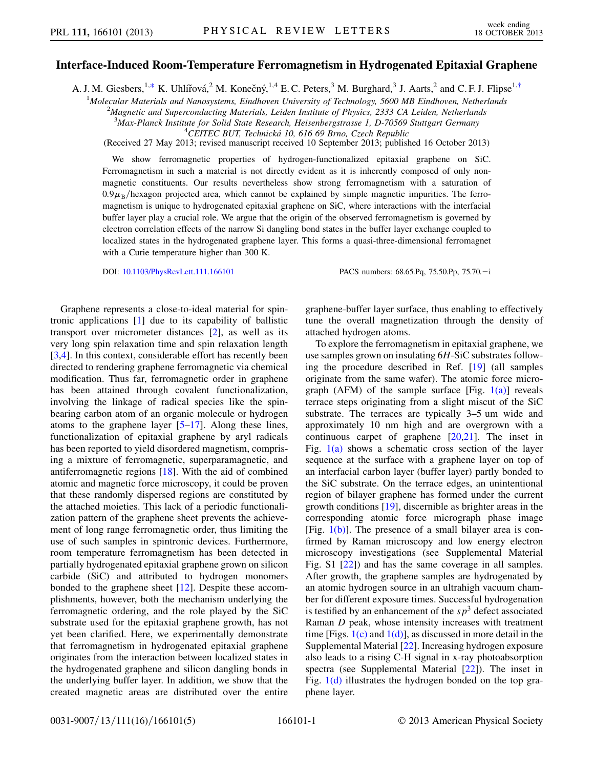## <span id="page-0-0"></span>Interface-Induced Room-Temperature Ferromagnetism in Hydrogenated Epitaxial Graphene

A. J. M. Giesbers, <sup>1,[\\*](#page-4-0)</sup> K. Uhlířová, <sup>2</sup> M. Konečný, <sup>1,4</sup> E. C. Peters, <sup>3</sup> M. Burghard, <sup>3</sup> J. Aarts, <sup>2</sup> and C. F. J. Flipse<sup>1,[†](#page-4-1)</sup>

<sup>1</sup>Molecular Materials and Nanosystems, Eindhoven University of Technology, 5600 MB Eindhoven, Netherlands<br><sup>2</sup>Magnetic and Superconducting Materials, Leiden Institute of Physics, 2333 CA Leiden, Netherlands

 $A^2$ Magnetic and Superconducting Materials, Leiden Institute of Physics, 2333 CA Leiden, Netherlands

<sup>3</sup>Max-Planck Institute for Solid State Research, Heisenbergstrasse 1, D-70569 Stuttgart Germany<br><sup>4</sup>CEITEC BUT Technická 10,616,60 Brno, Czech Benublic  $^{4}$ CEITEC BUT, Technická 10, 616 69 Brno, Czech Republic

(Received 27 May 2013; revised manuscript received 10 September 2013; published 16 October 2013)

We show ferromagnetic properties of hydrogen-functionalized epitaxial graphene on SiC. Ferromagnetism in such a material is not directly evident as it is inherently composed of only nonmagnetic constituents. Our results nevertheless show strong ferromagnetism with a saturation of  $0.9\mu_B$ /hexagon projected area, which cannot be explained by simple magnetic impurities. The ferromagnetism is unique to hydrogenated epitaxial graphene on SiC, where interactions with the interfacial buffer layer play a crucial role. We argue that the origin of the observed ferromagnetism is governed by electron correlation effects of the narrow Si dangling bond states in the buffer layer exchange coupled to localized states in the hydrogenated graphene layer. This forms a quasi-three-dimensional ferromagnet with a Curie temperature higher than 300 K.

DOI: [10.1103/PhysRevLett.111.166101](http://dx.doi.org/10.1103/PhysRevLett.111.166101) PACS numbers: 68.65.Pq, 75.50.Pp, 75.70. - i

Graphene represents a close-to-ideal material for spintronic applications [[1](#page-4-2)] due to its capability of ballistic transport over micrometer distances [\[2](#page-4-3)], as well as its very long spin relaxation time and spin relaxation length [\[3,](#page-4-4)[4](#page-4-5)]. In this context, considerable effort has recently been directed to rendering graphene ferromagnetic via chemical modification. Thus far, ferromagnetic order in graphene has been attained through covalent functionalization, involving the linkage of radical species like the spinbearing carbon atom of an organic molecule or hydrogen atoms to the graphene layer [\[5](#page-4-6)–[17](#page-4-7)]. Along these lines, functionalization of epitaxial graphene by aryl radicals has been reported to yield disordered magnetism, comprising a mixture of ferromagnetic, superparamagnetic, and antiferromagnetic regions [\[18\]](#page-4-8). With the aid of combined atomic and magnetic force microscopy, it could be proven that these randomly dispersed regions are constituted by the attached moieties. This lack of a periodic functionalization pattern of the graphene sheet prevents the achievement of long range ferromagnetic order, thus limiting the use of such samples in spintronic devices. Furthermore, room temperature ferromagnetism has been detected in partially hydrogenated epitaxial graphene grown on silicon carbide (SiC) and attributed to hydrogen monomers bonded to the graphene sheet [\[12\]](#page-4-9). Despite these accomplishments, however, both the mechanism underlying the ferromagnetic ordering, and the role played by the SiC substrate used for the epitaxial graphene growth, has not yet been clarified. Here, we experimentally demonstrate that ferromagnetism in hydrogenated epitaxial graphene originates from the interaction between localized states in the hydrogenated graphene and silicon dangling bonds in the underlying buffer layer. In addition, we show that the created magnetic areas are distributed over the entire graphene-buffer layer surface, thus enabling to effectively tune the overall magnetization through the density of attached hydrogen atoms.

To explore the ferromagnetism in epitaxial graphene, we use samples grown on insulating 6H-SiC substrates following the procedure described in Ref. [[19](#page-4-10)] (all samples originate from the same wafer). The atomic force micrograph (AFM) of the sample surface [Fig.  $1(a)$ ] reveals terrace steps originating from a slight miscut of the SiC substrate. The terraces are typically 3–5 um wide and approximately 10 nm high and are overgrown with a continuous carpet of graphene  $[20,21]$  $[20,21]$ . The inset in Fig.  $1(a)$  shows a schematic cross section of the layer sequence at the surface with a graphene layer on top of an interfacial carbon layer (buffer layer) partly bonded to the SiC substrate. On the terrace edges, an unintentional region of bilayer graphene has formed under the current growth conditions [[19](#page-4-10)], discernible as brighter areas in the corresponding atomic force micrograph phase image [Fig.  $1(b)$ ]. The presence of a small bilayer area is confirmed by Raman microscopy and low energy electron microscopy investigations (see Supplemental Material Fig. S1 [\[22\]](#page-4-13)) and has the same coverage in all samples. After growth, the graphene samples are hydrogenated by an atomic hydrogen source in an ultrahigh vacuum chamber for different exposure times. Successful hydrogenation is testified by an enhancement of the  $sp<sup>3</sup>$  defect associated Raman D peak, whose intensity increases with treatment time [Figs.  $1(c)$  and  $1(d)$ ], as discussed in more detail in the Supplemental Material [\[22\]](#page-4-13). Increasing hydrogen exposure also leads to a rising C-H signal in x-ray photoabsorption spectra (see Supplemental Material [[22](#page-4-13)]). The inset in Fig. [1\(d\)](#page-1-0) illustrates the hydrogen bonded on the top graphene layer.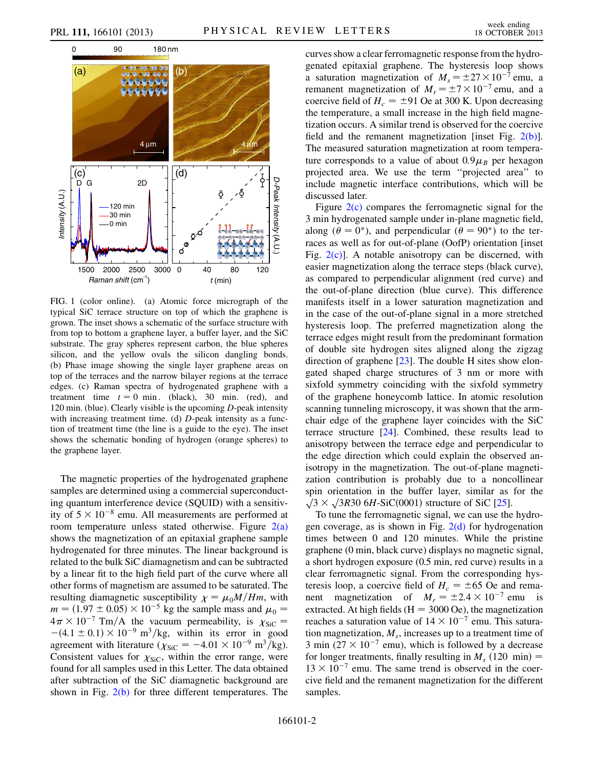

<span id="page-1-0"></span>FIG. 1 (color online). (a) Atomic force micrograph of the typical SiC terrace structure on top of which the graphene is grown. The inset shows a schematic of the surface structure with from top to bottom a graphene layer, a buffer layer, and the SiC substrate. The gray spheres represent carbon, the blue spheres silicon, and the yellow ovals the silicon dangling bonds. (b) Phase image showing the single layer graphene areas on top of the terraces and the narrow bilayer regions at the terrace edges. (c) Raman spectra of hydrogenated graphene with a treatment time  $t = 0$  min. (black), 30 min. (red), and 120 min. (blue). Clearly visible is the upcoming D-peak intensity with increasing treatment time. (d) D-peak intensity as a function of treatment time (the line is a guide to the eye). The inset shows the schematic bonding of hydrogen (orange spheres) to the graphene layer.

The magnetic properties of the hydrogenated graphene samples are determined using a commercial superconducting quantum interference device (SQUID) with a sensitivity of  $5 \times 10^{-8}$  emu. All measurements are performed at room temperature unless stated otherwise. Figure 2(a) room temperature unless stated otherwise. Figure  $2(a)$ shows the magnetization of an epitaxial graphene sample hydrogenated for three minutes. The linear background is related to the bulk SiC diamagnetism and can be subtracted by a linear fit to the high field part of the curve where all other forms of magnetism are assumed to be saturated. The resulting diamagnetic susceptibility  $\chi = \mu_0 M/Hm$ , with  $m = (1.97 \pm 0.05) \times 10^{-5}$  kg the sample mass and  $\mu_0 =$  $m = (1.97 \pm 0.05) \times 10^{-5}$  kg the sample mass and  $\mu_0 = 4\pi \times 10^{-7}$  Tm/A, the vacuum permeability is  $v_{\text{avg}} =$  $4\pi \times 10^{-7}$  Tm/A the vacuum permeability, is  $\chi$ <br>-(4.1 + 0.1) × 10<sup>-9</sup> m<sup>3</sup>/kg, within its error in  $\frac{1}{\cos \theta}$  $-(4.1 \pm 0.1) \times 10^{-9}$  m<sup>3</sup>/kg, within its error in good<br>agreement with literature  $(\chi_{\text{avg}} = -4.01 \times 10^{-9}$  m<sup>3</sup>/kg) agreement with literature  $(\chi_{\text{SiC}} = -4.01 \times 10^{-9} \text{ m}^3/\text{kg})$ .<br>Consistent values for  $\chi_{\text{SiC}}$  within the error range, were Consistent values for  $\chi_{\text{SiC}}$ , within the error range, were<br>found for all samples used in this Letter. The data obtained found for all samples used in this Letter. The data obtained after subtraction of the SiC diamagnetic background are shown in Fig.  $2(b)$  for three different temperatures. The curves show a clear ferromagnetic response from the hydrogenated epitaxial graphene. The hysteresis loop shows a saturation magnetization of  $M_s = \pm 27 \times 10^{-7}$  emu, and a<br>remanent magnetization of  $M = \pm 7 \times 10^{-7}$  emu, and a remanent magnetization of  $M_r = \pm 7 \times 10^{-7}$  emu, and a<br>coercive field of  $H = +91$  Oe at 300 K. Upon decreasing coercive field of  $H_c = \pm 91$  Oe at 300 K. Upon decreasing the temperature, a small increase in the high field magnetization occurs. A similar trend is observed for the coercive field and the remanent magnetization [inset Fig. [2\(b\)\]](#page-2-0). The measured saturation magnetization at room temperature corresponds to a value of about  $0.9\mu_B$  per hexagon projected area. We use the term ''projected area'' to include magnetic interface contributions, which will be discussed later.

Figure  $2(c)$  compares the ferromagnetic signal for the 3 min hydrogenated sample under in-plane magnetic field, along ( $\theta = 0^{\circ}$ ), and perpendicular ( $\theta = 90^{\circ}$ ) to the terraces as well as for out-of-plane (OofP) orientation [inset Fig.  $2(c)$ ]. A notable anisotropy can be discerned, with easier magnetization along the terrace steps (black curve), as compared to perpendicular alignment (red curve) and the out-of-plane direction (blue curve). This difference manifests itself in a lower saturation magnetization and in the case of the out-of-plane signal in a more stretched hysteresis loop. The preferred magnetization along the terrace edges might result from the predominant formation of double site hydrogen sites aligned along the zigzag direction of graphene [[23](#page-4-14)]. The double H sites show elongated shaped charge structures of 3 nm or more with sixfold symmetry coinciding with the sixfold symmetry of the graphene honeycomb lattice. In atomic resolution scanning tunneling microscopy, it was shown that the armchair edge of the graphene layer coincides with the SiC terrace structure [[24](#page-4-15)]. Combined, these results lead to anisotropy between the terrace edge and perpendicular to the edge direction which could explain the observed anisotropy in the magnetization. The out-of-plane magnetization contribution is probably due to a noncollinear spin orientation in the buffer layer, similar as for the  $\sqrt{3} \times \sqrt{3R30}$  6H-SiC(0001) structure of SiC [\[25\]](#page-4-16).

To tune the ferromagnetic signal, we can use the hydrogen coverage, as is shown in Fig.  $2(d)$  for hydrogenation times between 0 and 120 minutes. While the pristine graphene (0 min, black curve) displays no magnetic signal, a short hydrogen exposure (0.5 min, red curve) results in a clear ferromagnetic signal. From the corresponding hysteresis loop, a coercive field of  $H_c = \pm 65$  Oe and rema-<br>nent magnetization of  $M = \pm 2.4 \times 10^{-7}$  emu is nent magnetization of  $M_r = \pm 2.4 \times 10^{-7}$  emu is<br>extracted At high fields (H = 3000 Oe) the magnetization extracted. At high fields ( $H = 3000$  Oe), the magnetization reaches a saturation value of  $14 \times 10^{-7}$  emu. This satura-<br>tion magnetization M increases up to a treatment time of tion magnetization,  $M_s$ , increases up to a treatment time of 3 min  $(27 \times 10^{-7}$  emu), which is followed by a decrease<br>for longer treatments, finally resulting in M (120 min) for longer treatments, finally resulting in  $M_s$  (120 min) =  $13 \times 10$   $\degree$  emu. The same trend is observed in the coercive field and the remanent magnetization for the different  $13 \times 10^{-7}$  emu. The same trend is observed in the coersamples.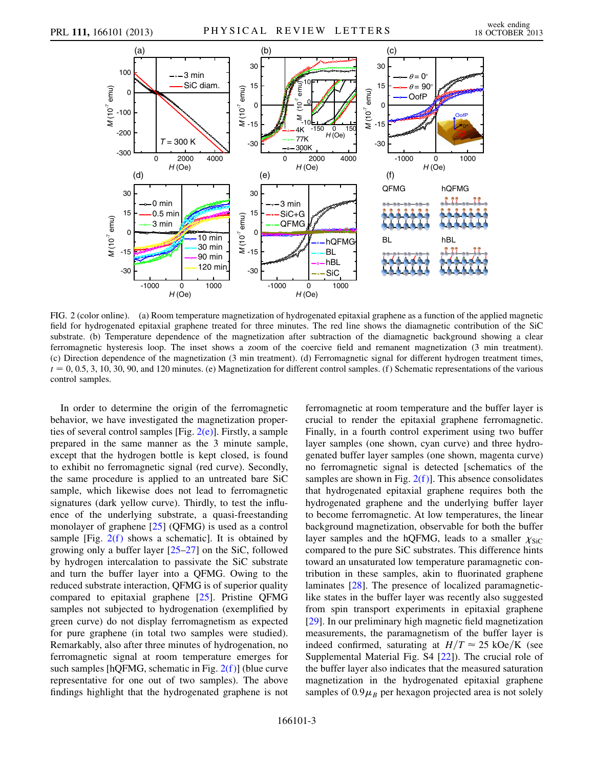

<span id="page-2-0"></span>FIG. 2 (color online). (a) Room temperature magnetization of hydrogenated epitaxial graphene as a function of the applied magnetic field for hydrogenated epitaxial graphene treated for three minutes. The red line shows the diamagnetic contribution of the SiC substrate. (b) Temperature dependence of the magnetization after subtraction of the diamagnetic background showing a clear ferromagnetic hysteresis loop. The inset shows a zoom of the coercive field and remanent magnetization (3 min treatment). (c) Direction dependence of the magnetization (3 min treatment). (d) Ferromagnetic signal for different hydrogen treatment times,  $t = 0, 0.5, 3, 10, 30, 90$ , and 120 minutes. (e) Magnetization for different control samples. (f) Schematic representations of the various control samples.

In order to determine the origin of the ferromagnetic behavior, we have investigated the magnetization properties of several control samples [Fig.  $2(e)$ ]. Firstly, a sample prepared in the same manner as the 3 minute sample, except that the hydrogen bottle is kept closed, is found to exhibit no ferromagnetic signal (red curve). Secondly, the same procedure is applied to an untreated bare SiC sample, which likewise does not lead to ferromagnetic signatures (dark yellow curve). Thirdly, to test the influence of the underlying substrate, a quasi-freestanding monolayer of graphene [\[25\]](#page-4-16) (QFMG) is used as a control sample [Fig.  $2(f)$  shows a schematic]. It is obtained by growing only a buffer layer [[25](#page-4-16)–[27\]](#page-4-17) on the SiC, followed by hydrogen intercalation to passivate the SiC substrate and turn the buffer layer into a QFMG. Owing to the reduced substrate interaction, QFMG is of superior quality compared to epitaxial graphene [[25\]](#page-4-16). Pristine QFMG samples not subjected to hydrogenation (exemplified by green curve) do not display ferromagnetism as expected for pure graphene (in total two samples were studied). Remarkably, also after three minutes of hydrogenation, no ferromagnetic signal at room temperature emerges for such samples [hQFMG, schematic in Fig.  $2(f)$ ] (blue curve representative for one out of two samples). The above findings highlight that the hydrogenated graphene is not ferromagnetic at room temperature and the buffer layer is crucial to render the epitaxial graphene ferromagnetic. Finally, in a fourth control experiment using two buffer layer samples (one shown, cyan curve) and three hydrogenated buffer layer samples (one shown, magenta curve) no ferromagnetic signal is detected [schematics of the samples are shown in Fig.  $2(f)$ ]. This absence consolidates that hydrogenated epitaxial graphene requires both the hydrogenated graphene and the underlying buffer layer to become ferromagnetic. At low temperatures, the linear background magnetization, observable for both the buffer layer samples and the hQFMG, leads to a smaller  $\chi_{\text{SiC}}$ compared to the pure SiC substrates. This difference hints toward an unsaturated low temperature paramagnetic contribution in these samples, akin to fluorinated graphene laminates [[28](#page-4-18)]. The presence of localized paramagneticlike states in the buffer layer was recently also suggested from spin transport experiments in epitaxial graphene [\[29\]](#page-4-19). In our preliminary high magnetic field magnetization measurements, the paramagnetism of the buffer layer is indeed confirmed, saturating at  $H/T \approx 25 \text{ kOe/K}$  (see Supplemental Material Fig. S4 [[22](#page-4-13)]). The crucial role of the buffer layer also indicates that the measured saturation magnetization in the hydrogenated epitaxial graphene samples of  $0.9\mu_B$  per hexagon projected area is not solely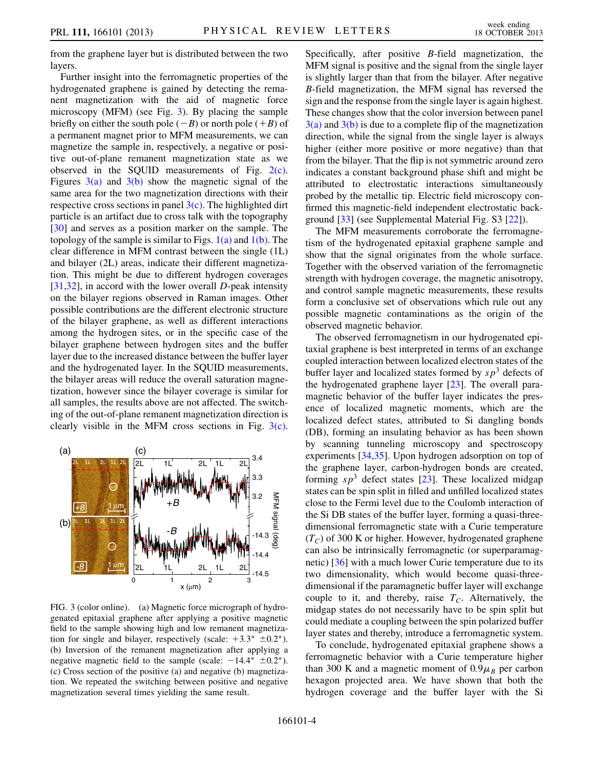from the graphene layer but is distributed between the two layers.

Further insight into the ferromagnetic properties of the hydrogenated graphene is gained by detecting the remanent magnetization with the aid of magnetic force microscopy (MFM) (see Fig. [3\)](#page-3-0). By placing the sample briefly on either the south pole  $(-B)$  or north pole  $(+B)$  of a permanent magnet prior to MFM measurements, we can magnetize the sample in, respectively, a negative or positive out-of-plane remanent magnetization state as we observed in the SQUID measurements of Fig. [2\(c\)](#page-2-0). Figures  $3(a)$  and  $3(b)$  show the magnetic signal of the same area for the two magnetization directions with their respective cross sections in panel  $3(c)$ . The highlighted dirt particle is an artifact due to cross talk with the topography [\[30\]](#page-4-20) and serves as a position marker on the sample. The topology of the sample is similar to Figs.  $1(a)$  and  $1(b)$ . The clear difference in MFM contrast between the single (1L) and bilayer (2L) areas, indicate their different magnetization. This might be due to different hydrogen coverages [\[31](#page-4-21)[,32\]](#page-4-22), in accord with the lower overall D-peak intensity on the bilayer regions observed in Raman images. Other possible contributions are the different electronic structure of the bilayer graphene, as well as different interactions among the hydrogen sites, or in the specific case of the bilayer graphene between hydrogen sites and the buffer layer due to the increased distance between the buffer layer and the hydrogenated layer. In the SQUID measurements, the bilayer areas will reduce the overall saturation magnetization, however since the bilayer coverage is similar for all samples, the results above are not affected. The switching of the out-of-plane remanent magnetization direction is clearly visible in the MFM cross sections in Fig. [3\(c\)](#page-3-1).

<span id="page-3-0"></span>

<span id="page-3-1"></span>FIG. 3 (color online). (a) Magnetic force micrograph of hydrogenated epitaxial graphene after applying a positive magnetic field to the sample showing high and low remanent magnetization for single and bilayer, respectively (scale:  $+3.3^{\circ} \pm 0.2^{\circ}$ ). (b) Inversion of the remanent magnetization after applying a negative magnetic field to the sample (scale:  $-14.4^{\circ} \pm 0.2^{\circ}$ ). (c) Cross section of the positive (a) and negative (b) magnetization. We repeated the switching between positive and negative magnetization several times yielding the same result.

Specifically, after positive B-field magnetization, the MFM signal is positive and the signal from the single layer is slightly larger than that from the bilayer. After negative B-field magnetization, the MFM signal has reversed the sign and the response from the single layer is again highest. These changes show that the color inversion between panel  $3(a)$  and  $3(b)$  is due to a complete flip of the magnetization direction, while the signal from the single layer is always higher (either more positive or more negative) than that from the bilayer. That the flip is not symmetric around zero indicates a constant background phase shift and might be attributed to electrostatic interactions simultaneously probed by the metallic tip. Electric field microscopy confirmed this magnetic-field independent electrostatic background [\[33\]](#page-4-23) (see Supplemental Material Fig. S3 [\[22\]](#page-4-13)).

The MFM measurements corroborate the ferromagnetism of the hydrogenated epitaxial graphene sample and show that the signal originates from the whole surface. Together with the observed variation of the ferromagnetic strength with hydrogen coverage, the magnetic anisotropy, and control sample magnetic measurements, these results form a conclusive set of observations which rule out any possible magnetic contaminations as the origin of the observed magnetic behavior.

The observed ferromagnetism in our hydrogenated epitaxial graphene is best interpreted in terms of an exchange coupled interaction between localized electron states of the buffer layer and localized states formed by  $sp^3$  defects of the hydrogenated graphene layer [\[23\]](#page-4-14). The overall paramagnetic behavior of the buffer layer indicates the presence of localized magnetic moments, which are the localized defect states, attributed to Si dangling bonds (DB), forming an insulating behavior as has been shown by scanning tunneling microscopy and spectroscopy experiments [[34](#page-4-24),[35](#page-4-25)]. Upon hydrogen adsorption on top of the graphene layer, carbon-hydrogen bonds are created, forming  $s p<sup>3</sup>$  defect states [\[23](#page-4-14)]. These localized midgap states can be spin split in filled and unfilled localized states close to the Fermi level due to the Coulomb interaction of the Si DB states of the buffer layer, forming a quasi-threedimensional ferromagnetic state with a Curie temperature  $(T_C)$  of 300 K or higher. However, hydrogenated graphene can also be intrinsically ferromagnetic (or superparamagnetic) [\[36\]](#page-4-26) with a much lower Curie temperature due to its two dimensionality, which would become quasi-threedimensional if the paramagnetic buffer layer will exchange couple to it, and thereby, raise  $T_c$ . Alternatively, the midgap states do not necessarily have to be spin split but could mediate a coupling between the spin polarized buffer layer states and thereby, introduce a ferromagnetic system.

To conclude, hydrogenated epitaxial graphene shows a ferromagnetic behavior with a Curie temperature higher than 300 K and a magnetic moment of  $0.9\mu_B$  per carbon hexagon projected area. We have shown that both the hydrogen coverage and the buffer layer with the Si